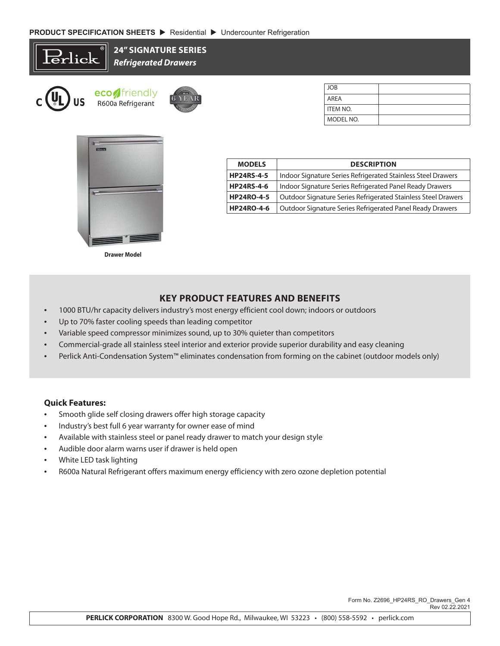



**Drawer Model**

| <b>MODELS</b>     | <b>DESCRIPTION</b>                                                   |  |
|-------------------|----------------------------------------------------------------------|--|
| <b>HP24RS-4-5</b> | Indoor Signature Series Refrigerated Stainless Steel Drawers         |  |
| <b>HP24RS-4-6</b> | Indoor Signature Series Refrigerated Panel Ready Drawers             |  |
| <b>HP24RO-4-5</b> | <b>Outdoor Signature Series Refrigerated Stainless Steel Drawers</b> |  |
| <b>HP24RO-4-6</b> | Outdoor Signature Series Refrigerated Panel Ready Drawers            |  |

MODEL NO.

## **KEY PRODUCT FEATURES AND BENEFITS**

- 1000 BTU/hr capacity delivers industry's most energy efficient cool down; indoors or outdoors
- Up to 70% faster cooling speeds than leading competitor
- Variable speed compressor minimizes sound, up to 30% quieter than competitors
- Commercial-grade all stainless steel interior and exterior provide superior durability and easy cleaning
- Perlick Anti-Condensation System™ eliminates condensation from forming on the cabinet (outdoor models only)

## **Quick Features:**

- Smooth glide self closing drawers offer high storage capacity
- Industry's best full 6 year warranty for owner ease of mind
- Available with stainless steel or panel ready drawer to match your design style
- Audible door alarm warns user if drawer is held open
- White LED task lighting
- R600a Natural Refrigerant offers maximum energy efficiency with zero ozone depletion potential

 Form No. Z2696\_HP24RS\_RO\_Drawers\_Gen 4 Rev 02.22.2021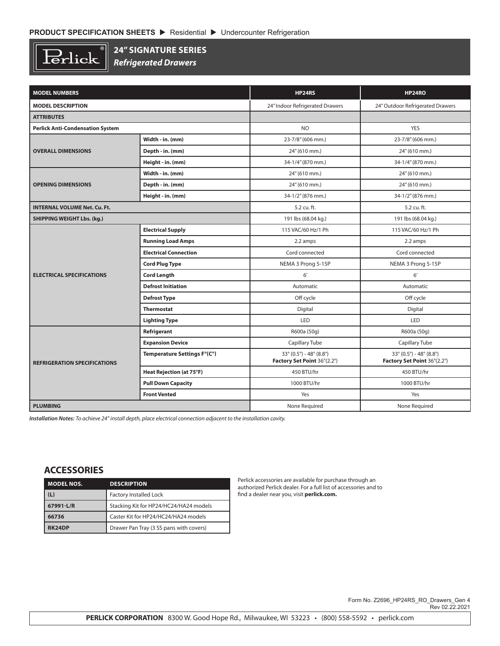$\overline{\mathbb{R}}$  $\operatorname{Perlick}$ 

## **24" SIGNATURE SERIES**

*Refrigerated Drawers*

| <b>MODEL NUMBERS</b>                    |                              | <b>HP24RS</b>                                                   | <b>HP24RO</b>                                                   |
|-----------------------------------------|------------------------------|-----------------------------------------------------------------|-----------------------------------------------------------------|
| <b>MODEL DESCRIPTION</b>                |                              | 24" Indoor Refrigerated Drawers                                 | 24" Outdoor Refrigerated Drawers                                |
| <b>ATTRIBUTES</b>                       |                              |                                                                 |                                                                 |
| <b>Perlick Anti-Condensation System</b> |                              | <b>NO</b>                                                       | <b>YES</b>                                                      |
|                                         | Width - in. (mm)             | 23-7/8" (606 mm.)                                               | 23-7/8" (606 mm.)                                               |
| <b>OVERALL DIMENSIONS</b>               | Depth - in. (mm)             | 24" (610 mm.)                                                   | 24" (610 mm.)                                                   |
|                                         | Height - in. (mm)            | 34-1/4" (870 mm.)                                               | 34-1/4" (870 mm.)                                               |
|                                         | Width - in. (mm)             | 24" (610 mm.)                                                   | 24" (610 mm.)                                                   |
| <b>OPENING DIMENSIONS</b>               | Depth - in. (mm)             | 24" (610 mm.)                                                   | 24" (610 mm.)                                                   |
|                                         | Height - in. (mm)            | 34-1/2" (876 mm.)                                               | 34-1/2" (876 mm.)                                               |
| <b>INTERNAL VOLUME Net. Cu. Ft.</b>     |                              | 5.2 cu. ft.                                                     | 5.2 cu. ft.                                                     |
| <b>SHIPPING WEIGHT Lbs. (kg.)</b>       |                              | 191 lbs (68.04 kg.)                                             | 191 lbs (68.04 kg.)                                             |
|                                         | <b>Electrical Supply</b>     | 115 VAC/60 Hz/1 Ph                                              | 115 VAC/60 Hz/1 Ph                                              |
|                                         | <b>Running Load Amps</b>     | 2.2 amps                                                        | 2.2 amps                                                        |
|                                         | <b>Electrical Connection</b> | Cord connected                                                  | Cord connected                                                  |
|                                         | <b>Cord Plug Type</b>        | NEMA 3 Prong 5-15P                                              | NEMA 3 Prong 5-15P                                              |
| <b>ELECTRICAL SPECIFICATIONS</b>        | <b>Cord Length</b>           | 6'                                                              | 6'                                                              |
|                                         | <b>Defrost Initiation</b>    | Automatic                                                       | Automatic                                                       |
|                                         | <b>Defrost Type</b>          | Off cycle                                                       | Off cycle                                                       |
|                                         | <b>Thermostat</b>            | Digital                                                         | Digital                                                         |
|                                         | <b>Lighting Type</b>         | LED                                                             | LED                                                             |
|                                         | Refrigerant                  | R600a (50g)                                                     | R600a (50g)                                                     |
|                                         | <b>Expansion Device</b>      | Capillary Tube                                                  | Capillary Tube                                                  |
| <b>REFRIGERATION SPECIFICATIONS</b>     | Temperature Settings F°(C°)  | $33^{\circ}$ (0.5°) - 48° (8.8°)<br>Factory Set Point 36°(2.2°) | $33^{\circ}$ (0.5°) - 48° (8.8°)<br>Factory Set Point 36°(2.2°) |
|                                         | Heat Rejection (at 75°F)     | 450 BTU/hr                                                      | 450 BTU/hr                                                      |
|                                         | <b>Pull Down Capacity</b>    | 1000 BTU/hr                                                     | 1000 BTU/hr                                                     |
|                                         | <b>Front Vented</b>          | Yes                                                             | Yes                                                             |
| <b>PLUMBING</b>                         |                              | None Required                                                   | None Required                                                   |

*Installation Notes: To achieve 24" install depth, place electrical connection adjacent to the installation cavity.*

## **ACCESSORIES**

| <b>MODEL NOS.</b> | <b>DESCRIPTION</b>                      |  |
|-------------------|-----------------------------------------|--|
| (L)               | <b>Factory Installed Lock</b>           |  |
| 67991-L/R         | Stacking Kit for HP24/HC24/HA24 models  |  |
| 66736             | Caster Kit for HP24/HC24/HA24 models    |  |
| RK24DP            | Drawer Pan Tray (3 SS pans with covers) |  |

Perlick accessories are available for purchase through an authorized Perlick dealer. For a full list of accessories and to find a dealer near you, visit **perlick.com.**

> Form No. Z2696\_HP24RS\_RO\_Drawers\_Gen 4 Rev 02.22.2021